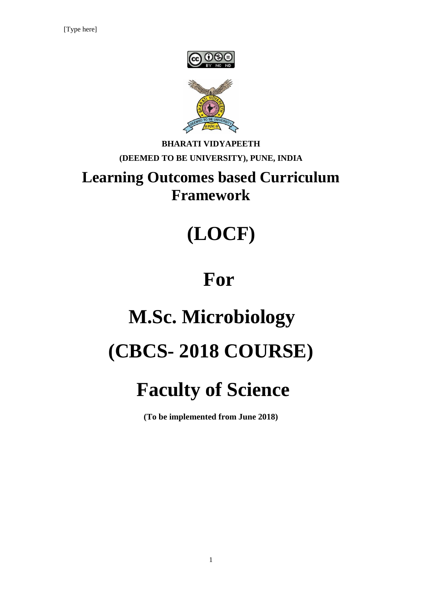



# **BHARATI VIDYAPEETH (DEEMED TO BE UNIVERSITY), PUNE, INDIA**

# **Learning Outcomes based Curriculum Framework**

# **(LOCF)**

# **For**

# **M.Sc. Microbiology (CBCS- 2018 COURSE)**

# **Faculty of Science**

**(To be implemented from June 2018)**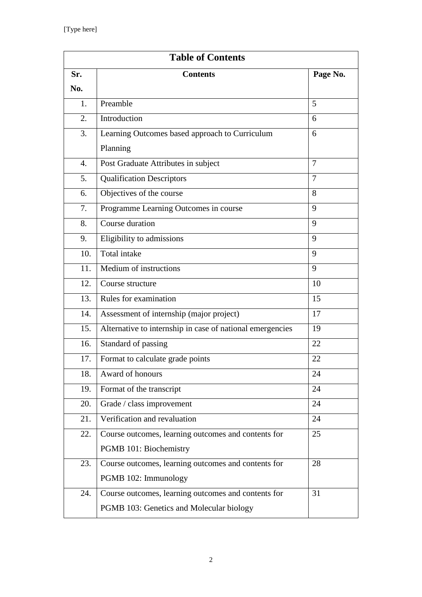| <b>Table of Contents</b> |                                                           |                |  |  |
|--------------------------|-----------------------------------------------------------|----------------|--|--|
| Sr.                      | <b>Contents</b>                                           | Page No.       |  |  |
| No.                      |                                                           |                |  |  |
| 1.                       | Preamble                                                  | 5              |  |  |
| 2.                       | Introduction                                              | 6              |  |  |
| 3.                       | Learning Outcomes based approach to Curriculum            | 6              |  |  |
|                          | Planning                                                  |                |  |  |
| 4.                       | Post Graduate Attributes in subject                       | 7              |  |  |
| 5.                       | <b>Qualification Descriptors</b>                          | $\overline{7}$ |  |  |
| 6.                       | Objectives of the course                                  | 8              |  |  |
| 7.                       | Programme Learning Outcomes in course                     | 9              |  |  |
| 8.                       | Course duration                                           | 9              |  |  |
| 9.                       | Eligibility to admissions                                 | 9              |  |  |
| 10.                      | <b>Total</b> intake                                       | 9              |  |  |
| 11.                      | Medium of instructions                                    | 9              |  |  |
| 12.                      | Course structure                                          | 10             |  |  |
| 13.                      | Rules for examination                                     | 15             |  |  |
| 14.                      | Assessment of internship (major project)                  | 17             |  |  |
| 15.                      | Alternative to internship in case of national emergencies | 19             |  |  |
| 16.                      | Standard of passing                                       | 22             |  |  |
| 17.                      | Format to calculate grade points                          | 22             |  |  |
| 18.                      | Award of honours                                          | 24             |  |  |
| 19.                      | Format of the transcript                                  | 24             |  |  |
| 20.                      | Grade / class improvement                                 | 24             |  |  |
| 21.                      | Verification and revaluation                              | 24             |  |  |
| 22.                      | Course outcomes, learning outcomes and contents for       | 25             |  |  |
|                          | PGMB 101: Biochemistry                                    |                |  |  |
| 23.                      | Course outcomes, learning outcomes and contents for       | 28             |  |  |
|                          | PGMB 102: Immunology                                      |                |  |  |
| 24.                      | Course outcomes, learning outcomes and contents for       | 31             |  |  |
|                          | PGMB 103: Genetics and Molecular biology                  |                |  |  |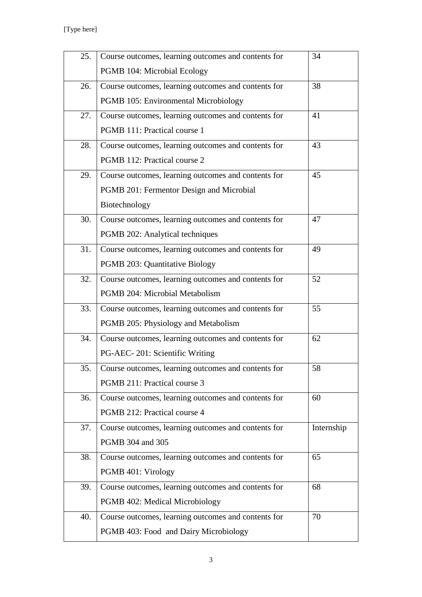[Type here]

| 25. | Course outcomes, learning outcomes and contents for | 34         |
|-----|-----------------------------------------------------|------------|
|     | PGMB 104: Microbial Ecology                         |            |
| 26. | Course outcomes, learning outcomes and contents for | 38         |
|     | PGMB 105: Environmental Microbiology                |            |
| 27. | Course outcomes, learning outcomes and contents for | 41         |
|     | PGMB 111: Practical course 1                        |            |
| 28. | Course outcomes, learning outcomes and contents for | 43         |
|     | PGMB 112: Practical course 2                        |            |
| 29. | Course outcomes, learning outcomes and contents for | 45         |
|     | PGMB 201: Fermentor Design and Microbial            |            |
|     | Biotechnology                                       |            |
| 30. | Course outcomes, learning outcomes and contents for | 47         |
|     | PGMB 202: Analytical techniques                     |            |
| 31. | Course outcomes, learning outcomes and contents for | 49         |
|     | PGMB 203: Quantitative Biology                      |            |
| 32. | Course outcomes, learning outcomes and contents for | 52         |
|     | PGMB 204: Microbial Metabolism                      |            |
| 33. | Course outcomes, learning outcomes and contents for | 55         |
|     | PGMB 205: Physiology and Metabolism                 |            |
| 34. | Course outcomes, learning outcomes and contents for | 62         |
|     | PG-AEC-201: Scientific Writing                      |            |
| 35. | Course outcomes, learning outcomes and contents for | 58         |
|     | PGMB 211: Practical course 3                        |            |
| 36. | Course outcomes, learning outcomes and contents for | 60         |
|     | PGMB 212: Practical course 4                        |            |
| 37. | Course outcomes, learning outcomes and contents for | Internship |
|     | PGMB 304 and 305                                    |            |
| 38. | Course outcomes, learning outcomes and contents for | 65         |
|     | PGMB 401: Virology                                  |            |
| 39. | Course outcomes, learning outcomes and contents for | 68         |
|     | PGMB 402: Medical Microbiology                      |            |
| 40. | Course outcomes, learning outcomes and contents for | 70         |
|     | PGMB 403: Food and Dairy Microbiology               |            |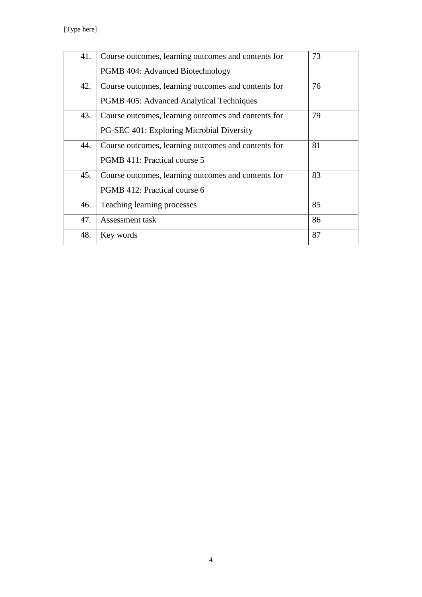[Type here]

| 41. | Course outcomes, learning outcomes and contents for | 73 |
|-----|-----------------------------------------------------|----|
|     | PGMB 404: Advanced Biotechnology                    |    |
| 42. | Course outcomes, learning outcomes and contents for | 76 |
|     | <b>PGMB 405: Advanced Analytical Techniques</b>     |    |
| 43. | Course outcomes, learning outcomes and contents for | 79 |
|     | PG-SEC 401: Exploring Microbial Diversity           |    |
| 44. | Course outcomes, learning outcomes and contents for | 81 |
|     | PGMB 411: Practical course 5                        |    |
| 45. | Course outcomes, learning outcomes and contents for | 83 |
|     | PGMB 412: Practical course 6                        |    |
| 46. | Teaching learning processes                         | 85 |
| 47. | Assessment task                                     | 86 |
| 48. | Key words                                           | 87 |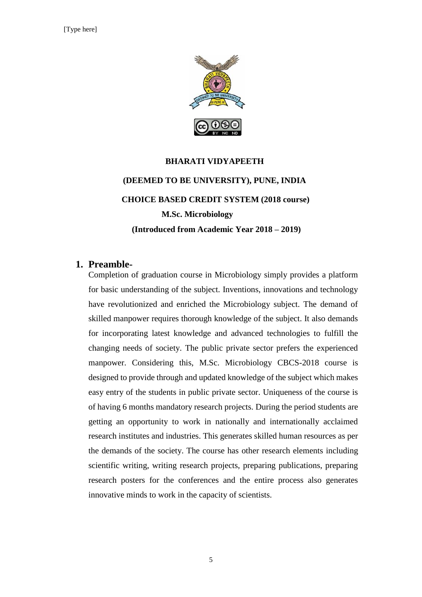

# **BHARATI VIDYAPEETH (DEEMED TO BE UNIVERSITY), PUNE, INDIA CHOICE BASED CREDIT SYSTEM (2018 course) M.Sc. Microbiology (Introduced from Academic Year 2018 – 2019)**

#### **1. Preamble-**

Completion of graduation course in Microbiology simply provides a platform for basic understanding of the subject. Inventions, innovations and technology have revolutionized and enriched the Microbiology subject. The demand of skilled manpower requires thorough knowledge of the subject. It also demands for incorporating latest knowledge and advanced technologies to fulfill the changing needs of society. The public private sector prefers the experienced manpower. Considering this, M.Sc. Microbiology CBCS-2018 course is designed to provide through and updated knowledge of the subject which makes easy entry of the students in public private sector. Uniqueness of the course is of having 6 months mandatory research projects. During the period students are getting an opportunity to work in nationally and internationally acclaimed research institutes and industries. This generates skilled human resources as per the demands of the society. The course has other research elements including scientific writing, writing research projects, preparing publications, preparing research posters for the conferences and the entire process also generates innovative minds to work in the capacity of scientists.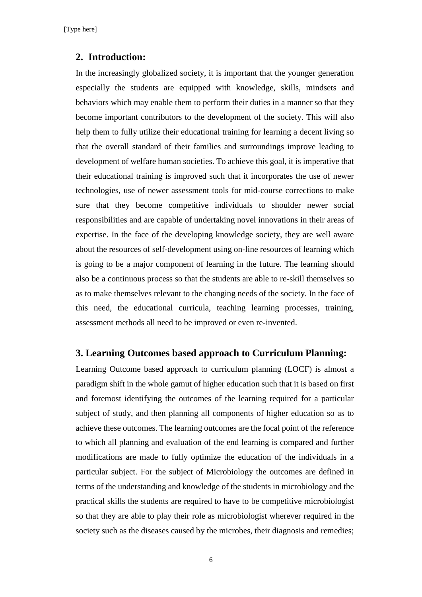#### **2. Introduction:**

In the increasingly globalized society, it is important that the younger generation especially the students are equipped with knowledge, skills, mindsets and behaviors which may enable them to perform their duties in a manner so that they become important contributors to the development of the society. This will also help them to fully utilize their educational training for learning a decent living so that the overall standard of their families and surroundings improve leading to development of welfare human societies. To achieve this goal, it is imperative that their educational training is improved such that it incorporates the use of newer technologies, use of newer assessment tools for mid-course corrections to make sure that they become competitive individuals to shoulder newer social responsibilities and are capable of undertaking novel innovations in their areas of expertise. In the face of the developing knowledge society, they are well aware about the resources of self-development using on-line resources of learning which is going to be a major component of learning in the future. The learning should also be a continuous process so that the students are able to re-skill themselves so as to make themselves relevant to the changing needs of the society. In the face of this need, the educational curricula, teaching learning processes, training, assessment methods all need to be improved or even re-invented.

#### **3. Learning Outcomes based approach to Curriculum Planning:**

Learning Outcome based approach to curriculum planning (LOCF) is almost a paradigm shift in the whole gamut of higher education such that it is based on first and foremost identifying the outcomes of the learning required for a particular subject of study, and then planning all components of higher education so as to achieve these outcomes. The learning outcomes are the focal point of the reference to which all planning and evaluation of the end learning is compared and further modifications are made to fully optimize the education of the individuals in a particular subject. For the subject of Microbiology the outcomes are defined in terms of the understanding and knowledge of the students in microbiology and the practical skills the students are required to have to be competitive microbiologist so that they are able to play their role as microbiologist wherever required in the society such as the diseases caused by the microbes, their diagnosis and remedies;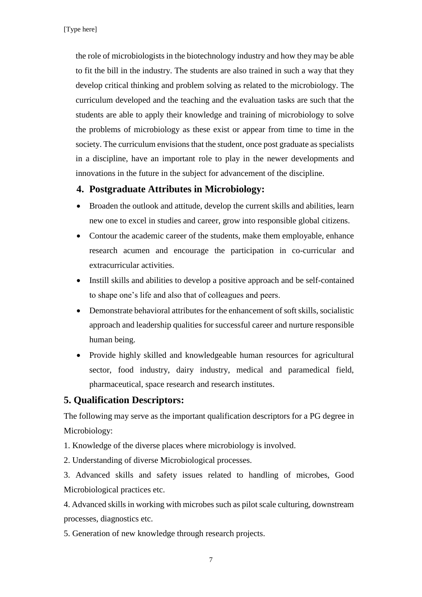the role of microbiologists in the biotechnology industry and how they may be able to fit the bill in the industry. The students are also trained in such a way that they develop critical thinking and problem solving as related to the microbiology. The curriculum developed and the teaching and the evaluation tasks are such that the students are able to apply their knowledge and training of microbiology to solve the problems of microbiology as these exist or appear from time to time in the society. The curriculum envisions that the student, once post graduate as specialists in a discipline, have an important role to play in the newer developments and innovations in the future in the subject for advancement of the discipline.

#### **4. Postgraduate Attributes in Microbiology:**

- Broaden the outlook and attitude, develop the current skills and abilities, learn new one to excel in studies and career, grow into responsible global citizens.
- Contour the academic career of the students, make them employable, enhance research acumen and encourage the participation in co-curricular and extracurricular activities.
- Instill skills and abilities to develop a positive approach and be self-contained to shape one's life and also that of colleagues and peers.
- Demonstrate behavioral attributes for the enhancement of soft skills, socialistic approach and leadership qualities for successful career and nurture responsible human being.
- Provide highly skilled and knowledgeable human resources for agricultural sector, food industry, dairy industry, medical and paramedical field, pharmaceutical, space research and research institutes.

#### **5. Qualification Descriptors:**

The following may serve as the important qualification descriptors for a PG degree in Microbiology:

1. Knowledge of the diverse places where microbiology is involved.

2. Understanding of diverse Microbiological processes.

3. Advanced skills and safety issues related to handling of microbes, Good Microbiological practices etc.

4. Advanced skills in working with microbes such as pilot scale culturing, downstream processes, diagnostics etc.

5. Generation of new knowledge through research projects.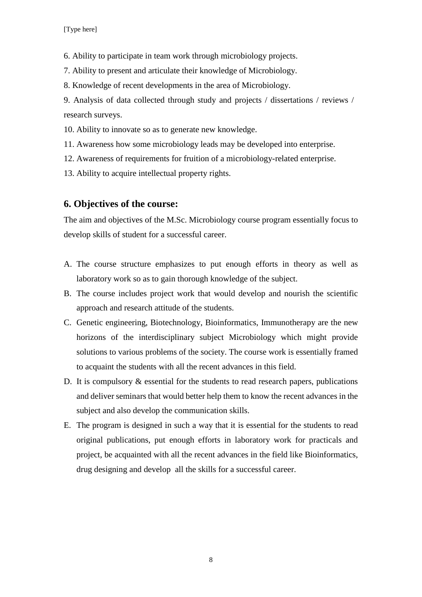6. Ability to participate in team work through microbiology projects.

7. Ability to present and articulate their knowledge of Microbiology.

8. Knowledge of recent developments in the area of Microbiology.

9. Analysis of data collected through study and projects / dissertations / reviews / research surveys.

10. Ability to innovate so as to generate new knowledge.

11. Awareness how some microbiology leads may be developed into enterprise.

12. Awareness of requirements for fruition of a microbiology-related enterprise.

13. Ability to acquire intellectual property rights.

#### **6. Objectives of the course:**

The aim and objectives of the M.Sc. Microbiology course program essentially focus to develop skills of student for a successful career.

- A. The course structure emphasizes to put enough efforts in theory as well as laboratory work so as to gain thorough knowledge of the subject.
- B. The course includes project work that would develop and nourish the scientific approach and research attitude of the students.
- C. Genetic engineering, Biotechnology, Bioinformatics, Immunotherapy are the new horizons of the interdisciplinary subject Microbiology which might provide solutions to various problems of the society. The course work is essentially framed to acquaint the students with all the recent advances in this field.
- D. It is compulsory  $\&$  essential for the students to read research papers, publications and deliver seminars that would better help them to know the recent advances in the subject and also develop the communication skills.
- E. The program is designed in such a way that it is essential for the students to read original publications, put enough efforts in laboratory work for practicals and project, be acquainted with all the recent advances in the field like Bioinformatics, drug designing and develop all the skills for a successful career.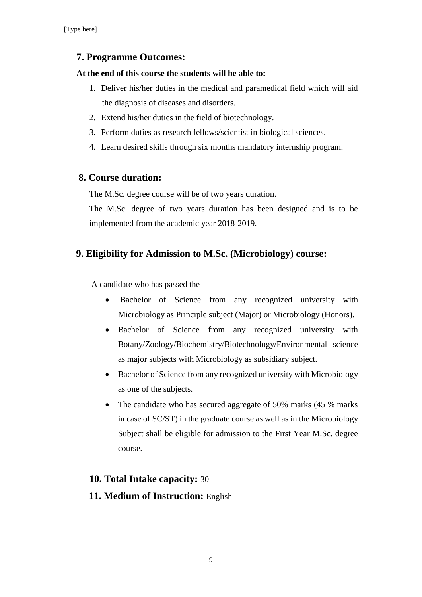#### **7. Programme Outcomes:**

#### **At the end of this course the students will be able to:**

- 1. Deliver his/her duties in the medical and paramedical field which will aid the diagnosis of diseases and disorders.
- 2. Extend his/her duties in the field of biotechnology.
- 3. Perform duties as research fellows/scientist in biological sciences.
- 4. Learn desired skills through six months mandatory internship program.

#### **8. Course duration:**

The M.Sc. degree course will be of two years duration.

The M.Sc. degree of two years duration has been designed and is to be implemented from the academic year 2018-2019.

#### **9. Eligibility for Admission to M.Sc. (Microbiology) course:**

A candidate who has passed the

- Bachelor of Science from any recognized university with Microbiology as Principle subject (Major) or Microbiology (Honors).
- Bachelor of Science from any recognized university with Botany/Zoology/Biochemistry/Biotechnology/Environmental science as major subjects with Microbiology as subsidiary subject.
- Bachelor of Science from any recognized university with Microbiology as one of the subjects.
- The candidate who has secured aggregate of 50% marks (45 % marks in case of SC/ST) in the graduate course as well as in the Microbiology Subject shall be eligible for admission to the First Year M.Sc. degree course.

#### **10. Total Intake capacity:** 30

# **11. Medium of Instruction:** English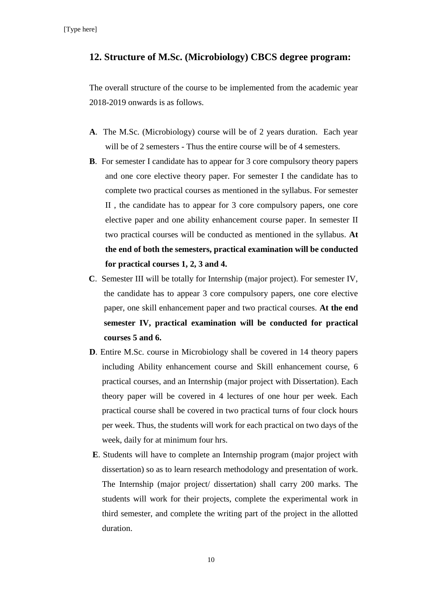#### **12. Structure of M.Sc. (Microbiology) CBCS degree program:**

The overall structure of the course to be implemented from the academic year 2018-2019 onwards is as follows.

- **A**. The M.Sc. (Microbiology) course will be of 2 years duration. Each year will be of 2 semesters - Thus the entire course will be of 4 semesters.
- **B**. For semester I candidate has to appear for 3 core compulsory theory papers and one core elective theory paper. For semester I the candidate has to complete two practical courses as mentioned in the syllabus. For semester II , the candidate has to appear for 3 core compulsory papers, one core elective paper and one ability enhancement course paper. In semester II two practical courses will be conducted as mentioned in the syllabus. **At the end of both the semesters, practical examination will be conducted for practical courses 1, 2, 3 and 4.**
- **C**. Semester III will be totally for Internship (major project). For semester IV, the candidate has to appear 3 core compulsory papers, one core elective paper, one skill enhancement paper and two practical courses. **At the end semester IV, practical examination will be conducted for practical courses 5 and 6.**
- **D**. Entire M.Sc. course in Microbiology shall be covered in 14 theory papers including Ability enhancement course and Skill enhancement course, 6 practical courses, and an Internship (major project with Dissertation). Each theory paper will be covered in 4 lectures of one hour per week. Each practical course shall be covered in two practical turns of four clock hours per week. Thus, the students will work for each practical on two days of the week, daily for at minimum four hrs.
- **E**. Students will have to complete an Internship program (major project with dissertation) so as to learn research methodology and presentation of work. The Internship (major project/ dissertation) shall carry 200 marks. The students will work for their projects, complete the experimental work in third semester, and complete the writing part of the project in the allotted duration.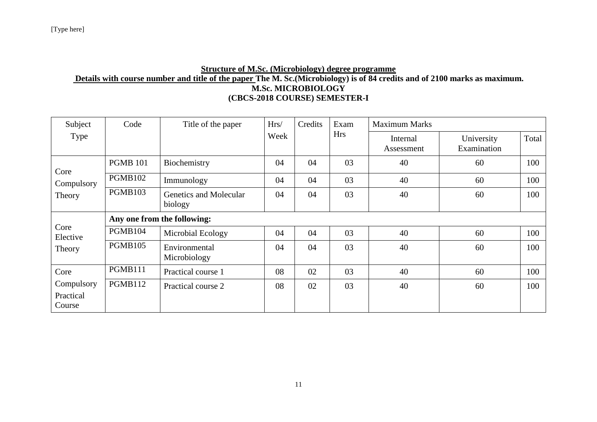#### **Structure of M.Sc. (Microbiology) degree programme Details with course number and title of the paper The M. Sc.(Microbiology) is of 84 credits and of 2100 marks as maximum. M.Sc. MICROBIOLOGY (CBCS-2018 COURSE) SEMESTER-I**

| Subject                           | Code            | Title of the paper                | Hrs/ | Credits | Exam       | <b>Maximum Marks</b>   |                           |       |
|-----------------------------------|-----------------|-----------------------------------|------|---------|------------|------------------------|---------------------------|-------|
| Type                              |                 |                                   | Week |         | <b>Hrs</b> | Internal<br>Assessment | University<br>Examination | Total |
| Core                              | <b>PGMB 101</b> | Biochemistry                      | 04   | 04      | 03         | 40                     | 60                        | 100   |
| Compulsory                        | <b>PGMB102</b>  | Immunology                        | 04   | 04      | 03         | 40                     | 60                        | 100   |
| Theory                            | PGMB103         | Genetics and Molecular<br>biology | 04   | 04      | 03         | 40                     | 60                        | 100   |
|                                   |                 | Any one from the following:       |      |         |            |                        |                           |       |
| Core<br>Elective                  | PGMB104         | Microbial Ecology                 | 04   | 04      | 03         | 40                     | 60                        | 100   |
| Theory                            | <b>PGMB105</b>  | Environmental<br>Microbiology     | 04   | 04      | 03         | 40                     | 60                        | 100   |
| Core                              | PGMB111         | Practical course 1                | 08   | 02      | 03         | 40                     | 60                        | 100   |
| Compulsory<br>Practical<br>Course | PGMB112         | Practical course 2                | 08   | 02      | 03         | 40                     | 60                        | 100   |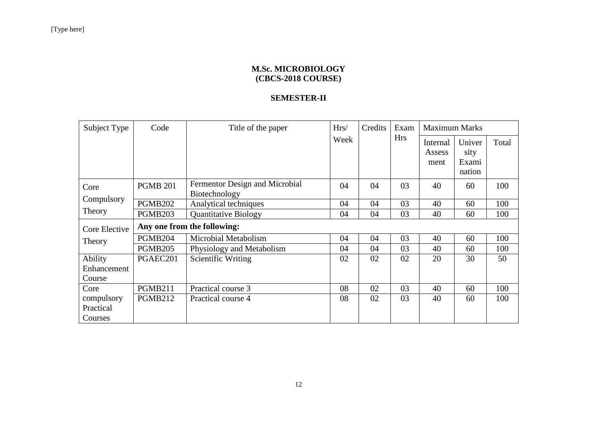#### **M.Sc. MICROBIOLOGY (CBCS-2018 COURSE)**

#### **SEMESTER-II**

| Subject Type  | Code                |                                | Title of the paper<br>Hrs/<br>Credits |    | Exam       | <b>Maximum Marks</b>       |                                   |       |
|---------------|---------------------|--------------------------------|---------------------------------------|----|------------|----------------------------|-----------------------------------|-------|
|               |                     |                                | Week                                  |    | <b>Hrs</b> | Internal<br>Assess<br>ment | Univer<br>sity<br>Exami<br>nation | Total |
| Core          | <b>PGMB 201</b>     | Fermentor Design and Microbial | 04                                    | 04 | 03         | 40                         | 60                                | 100   |
| Compulsory    |                     | Biotechnology                  |                                       |    |            |                            |                                   |       |
|               | <b>PGMB202</b>      | Analytical techniques          | 04                                    | 04 | 03         | 40                         | 60                                | 100   |
| Theory        | PGMB <sub>203</sub> | <b>Quantitative Biology</b>    | 04                                    | 04 | 03         | 40                         | 60                                | 100   |
| Core Elective |                     | Any one from the following:    |                                       |    |            |                            |                                   |       |
| Theory        | PGMB204             | Microbial Metabolism           | 04                                    | 04 | 03         | 40                         | 60                                | 100   |
|               | <b>PGMB205</b>      | Physiology and Metabolism      | 04                                    | 04 | 03         | 40                         | 60                                | 100   |
| Ability       | PGAEC201            | Scientific Writing             | 02                                    | 02 | 02         | 20                         | 30                                | 50    |
| Enhancement   |                     |                                |                                       |    |            |                            |                                   |       |
| Course        |                     |                                |                                       |    |            |                            |                                   |       |
| Core          | <b>PGMB211</b>      | Practical course 3             | 08                                    | 02 | 03         | 40                         | 60                                | 100   |
| compulsory    | <b>PGMB212</b>      | Practical course 4             | 08                                    | 02 | 03         | 40                         | 60                                | 100   |
| Practical     |                     |                                |                                       |    |            |                            |                                   |       |
| Courses       |                     |                                |                                       |    |            |                            |                                   |       |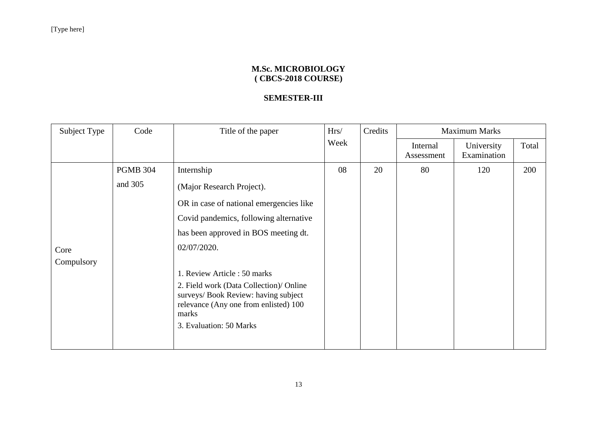#### **M.Sc. MICROBIOLOGY ( CBCS-2018 COURSE)**

#### **SEMESTER-III**

| Subject Type | Code            | Title of the paper                                                                                                                | Hrs/ | Credits |                        | <b>Maximum Marks</b>      |       |
|--------------|-----------------|-----------------------------------------------------------------------------------------------------------------------------------|------|---------|------------------------|---------------------------|-------|
|              |                 |                                                                                                                                   | Week |         | Internal<br>Assessment | University<br>Examination | Total |
|              | <b>PGMB 304</b> | Internship                                                                                                                        | 08   | 20      | 80                     | 120                       | 200   |
|              | and 305         | (Major Research Project).                                                                                                         |      |         |                        |                           |       |
|              |                 | OR in case of national emergencies like                                                                                           |      |         |                        |                           |       |
|              |                 | Covid pandemics, following alternative                                                                                            |      |         |                        |                           |       |
|              |                 | has been approved in BOS meeting dt.                                                                                              |      |         |                        |                           |       |
| Core         |                 | 02/07/2020.                                                                                                                       |      |         |                        |                           |       |
| Compulsory   |                 |                                                                                                                                   |      |         |                        |                           |       |
|              |                 | 1. Review Article: 50 marks                                                                                                       |      |         |                        |                           |       |
|              |                 | 2. Field work (Data Collection)/ Online<br>surveys/ Book Review: having subject<br>relevance (Any one from enlisted) 100<br>marks |      |         |                        |                           |       |
|              |                 | 3. Evaluation: 50 Marks                                                                                                           |      |         |                        |                           |       |
|              |                 |                                                                                                                                   |      |         |                        |                           |       |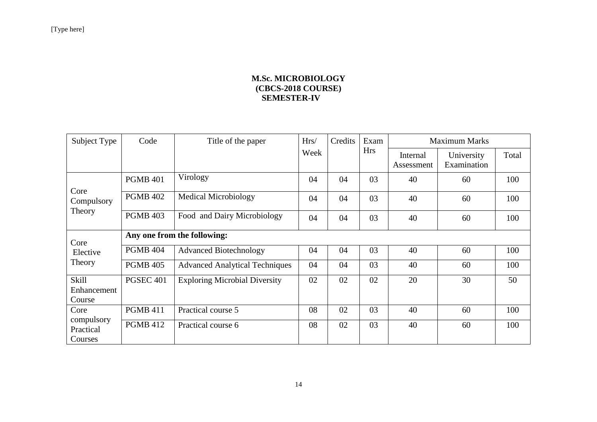#### **M.Sc. MICROBIOLOGY (CBCS-2018 COURSE) SEMESTER-IV**

| Subject Type                       | Code             | Title of the paper                    | Credits<br>Hrs/ | Exam |            | <b>Maximum Marks</b>   |                           |       |
|------------------------------------|------------------|---------------------------------------|-----------------|------|------------|------------------------|---------------------------|-------|
|                                    |                  |                                       | Week            |      | <b>Hrs</b> | Internal<br>Assessment | University<br>Examination | Total |
|                                    | <b>PGMB 401</b>  | Virology                              | 04              | 04   | 03         | 40                     | 60                        | 100   |
| Core<br>Compulsory                 | <b>PGMB 402</b>  | <b>Medical Microbiology</b>           | 04              | 04   | 03         | 40                     | 60                        | 100   |
| Theory                             | <b>PGMB 403</b>  | Food and Dairy Microbiology           | 04              | 04   | 03         | 40                     | 60                        | 100   |
| Core                               |                  | Any one from the following:           |                 |      |            |                        |                           |       |
| Elective                           | <b>PGMB 404</b>  | <b>Advanced Biotechnology</b>         | 04              | 04   | 03         | 40                     | 60                        | 100   |
| Theory                             | <b>PGMB 405</b>  | <b>Advanced Analytical Techniques</b> | 04              | 04   | 03         | 40                     | 60                        | 100   |
| Skill<br>Enhancement<br>Course     | <b>PGSEC 401</b> | <b>Exploring Microbial Diversity</b>  | 02              | 02   | 02         | 20                     | 30                        | 50    |
| Core                               | <b>PGMB 411</b>  | Practical course 5                    | 08              | 02   | 03         | 40                     | 60                        | 100   |
| compulsory<br>Practical<br>Courses | <b>PGMB 412</b>  | Practical course 6                    | 08              | 02   | 03         | 40                     | 60                        | 100   |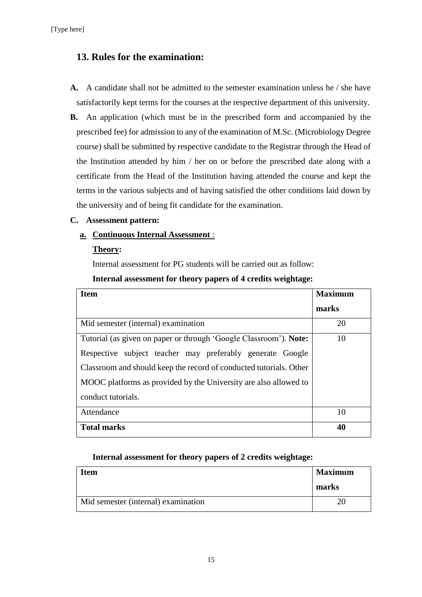#### **13. Rules for the examination:**

- **A.** A candidate shall not be admitted to the semester examination unless he / she have satisfactorily kept terms for the courses at the respective department of this university.
- **B.** An application (which must be in the prescribed form and accompanied by the prescribed fee) for admission to any of the examination of M.Sc. (Microbiology Degree course) shall be submitted by respective candidate to the Registrar through the Head of the Institution attended by him / her on or before the prescribed date along with a certificate from the Head of the Institution having attended the course and kept the terms in the various subjects and of having satisfied the other conditions laid down by the university and of being fit candidate for the examination.

#### **C. Assessment pattern:**

#### **a. Continuous Internal Assessment** :

#### **Theory:**

Internal assessment for PG students will be carried out as follow:

#### **Internal assessment for theory papers of 4 credits weightage:**

| <b>Item</b>                                                        | <b>Maximum</b> |
|--------------------------------------------------------------------|----------------|
|                                                                    | marks          |
| Mid semester (internal) examination                                | 20             |
| Tutorial (as given on paper or through 'Google Classroom'). Note:  | 10             |
| Respective subject teacher may preferably generate Google          |                |
| Classroom and should keep the record of conducted tutorials. Other |                |
| MOOC platforms as provided by the University are also allowed to   |                |
| conduct tutorials.                                                 |                |
| Attendance                                                         | 10             |
| <b>Total marks</b>                                                 | 40             |

#### **Internal assessment for theory papers of 2 credits weightage:**

| <b>Item</b>                         | <b>Maximum</b> |
|-------------------------------------|----------------|
|                                     | marks          |
| Mid semester (internal) examination |                |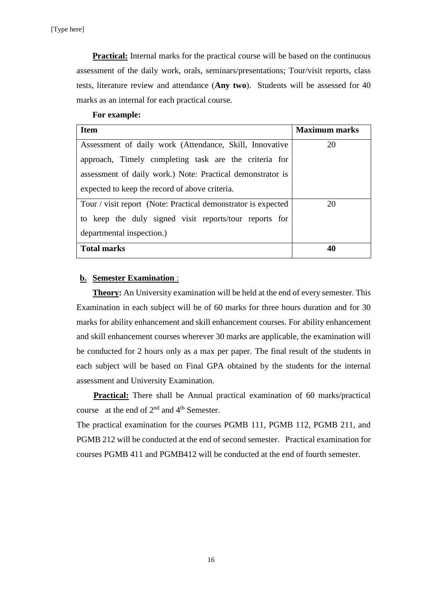**Practical:** Internal marks for the practical course will be based on the continuous assessment of the daily work, orals, seminars/presentations; Tour/visit reports, class tests, literature review and attendance (**Any two**). Students will be assessed for 40 marks as an internal for each practical course.

#### **For example:**

| <b>Item</b>                                                   | <b>Maximum marks</b> |
|---------------------------------------------------------------|----------------------|
| Assessment of daily work (Attendance, Skill, Innovative       | 20                   |
| approach, Timely completing task are the criteria for         |                      |
| assessment of daily work.) Note: Practical demonstrator is    |                      |
| expected to keep the record of above criteria.                |                      |
| Tour / visit report (Note: Practical demonstrator is expected | 20                   |
| to keep the duly signed visit reports/tour reports for        |                      |
| departmental inspection.)                                     |                      |
| <b>Total marks</b>                                            | 40                   |

#### **b. Semester Examination** :

**Theory:** An University examination will be held at the end of every semester. This Examination in each subject will be of 60 marks for three hours duration and for 30 marks for ability enhancement and skill enhancement courses. For ability enhancement and skill enhancement courses wherever 30 marks are applicable, the examination will be conducted for 2 hours only as a max per paper. The final result of the students in each subject will be based on Final GPA obtained by the students for the internal assessment and University Examination.

**Practical:** There shall be Annual practical examination of 60 marks/practical course at the end of  $2<sup>nd</sup>$  and  $4<sup>th</sup>$  Semester.

The practical examination for the courses PGMB 111, PGMB 112, PGMB 211, and PGMB 212 will be conducted at the end of second semester. Practical examination for courses PGMB 411 and PGMB412 will be conducted at the end of fourth semester.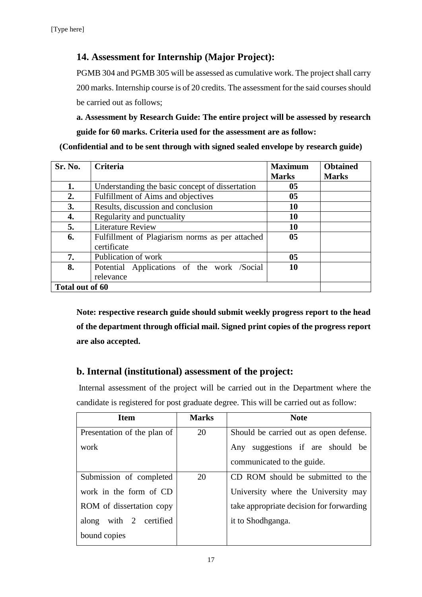# **14. Assessment for Internship (Major Project):**

PGMB 304 and PGMB 305 will be assessed as cumulative work. The project shall carry 200 marks. Internship course is of 20 credits. The assessment for the said courses should be carried out as follows;

**a. Assessment by Research Guide: The entire project will be assessed by research guide for 60 marks. Criteria used for the assessment are as follow:**

**(Confidential and to be sent through with signed sealed envelope by research guide)**

| Sr. No.         | <b>Criteria</b>                                 | <b>Maximum</b> | <b>Obtained</b> |
|-----------------|-------------------------------------------------|----------------|-----------------|
|                 |                                                 | <b>Marks</b>   | <b>Marks</b>    |
| 1.              | Understanding the basic concept of dissertation | 05             |                 |
| 2.              | Fulfillment of Aims and objectives              | 05             |                 |
| 3.              | Results, discussion and conclusion              | 10             |                 |
| 4.              | Regularity and punctuality                      | 10             |                 |
| 5.              | <b>Literature Review</b>                        | 10             |                 |
| 6.              | Fulfillment of Plagiarism norms as per attached | 0 <sub>5</sub> |                 |
|                 | certificate                                     |                |                 |
| 7.              | Publication of work                             | 05             |                 |
| 8.              | Potential Applications of the work /Social      | 10             |                 |
|                 | relevance                                       |                |                 |
| Total out of 60 |                                                 |                |                 |

**Note: respective research guide should submit weekly progress report to the head of the department through official mail. Signed print copies of the progress report are also accepted.**

# **b. Internal (institutional) assessment of the project:**

Internal assessment of the project will be carried out in the Department where the candidate is registered for post graduate degree. This will be carried out as follow:

| <b>Item</b>                 | <b>Marks</b> | <b>Note</b>                              |
|-----------------------------|--------------|------------------------------------------|
| Presentation of the plan of | 20           | Should be carried out as open defense.   |
| work                        |              | Any suggestions if are should be         |
|                             |              | communicated to the guide.               |
| Submission of completed     | 20           | CD ROM should be submitted to the        |
| work in the form of CD      |              | University where the University may      |
| ROM of dissertation copy    |              | take appropriate decision for forwarding |
| along with 2 certified      |              | it to Shodhganga.                        |
| bound copies                |              |                                          |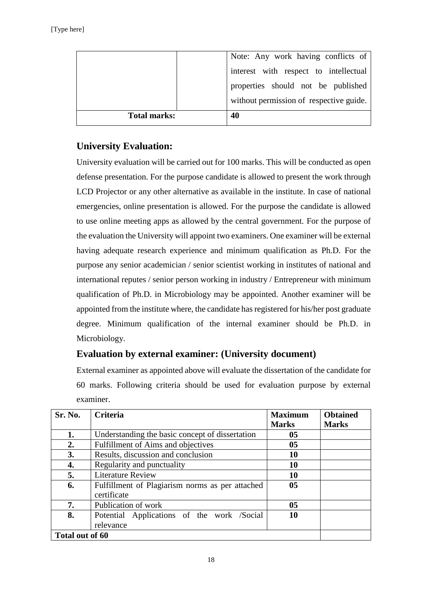|                     | Note: Any work having conflicts of      |
|---------------------|-----------------------------------------|
|                     | interest with respect to intellectual   |
|                     | properties should not be published      |
|                     | without permission of respective guide. |
| <b>Total marks:</b> | 40                                      |

# **University Evaluation:**

University evaluation will be carried out for 100 marks. This will be conducted as open defense presentation. For the purpose candidate is allowed to present the work through LCD Projector or any other alternative as available in the institute. In case of national emergencies, online presentation is allowed. For the purpose the candidate is allowed to use online meeting apps as allowed by the central government. For the purpose of the evaluation the University will appoint two examiners. One examiner will be external having adequate research experience and minimum qualification as Ph.D. For the purpose any senior academician / senior scientist working in institutes of national and international reputes / senior person working in industry / Entrepreneur with minimum qualification of Ph.D. in Microbiology may be appointed. Another examiner will be appointed from the institute where, the candidate has registered for his/her post graduate degree. Minimum qualification of the internal examiner should be Ph.D. in Microbiology.

# **Evaluation by external examiner: (University document)**

External examiner as appointed above will evaluate the dissertation of the candidate for 60 marks. Following criteria should be used for evaluation purpose by external examiner.

| Sr. No.         | <b>Criteria</b>                                 | <b>Maximum</b> | <b>Obtained</b> |
|-----------------|-------------------------------------------------|----------------|-----------------|
|                 |                                                 | <b>Marks</b>   | <b>Marks</b>    |
| 1.              | Understanding the basic concept of dissertation | 0 <sub>5</sub> |                 |
| 2.              | Fulfillment of Aims and objectives              | 0 <sub>5</sub> |                 |
| 3.              | Results, discussion and conclusion              | 10             |                 |
| 4.              | Regularity and punctuality                      | 10             |                 |
| 5.              | <b>Literature Review</b>                        | 10             |                 |
| 6.              | Fulfillment of Plagiarism norms as per attached | 0 <sub>5</sub> |                 |
|                 | certificate                                     |                |                 |
| 7.              | Publication of work                             | 0 <sub>5</sub> |                 |
| 8.              | Potential Applications of the work /Social      | <b>10</b>      |                 |
|                 | relevance                                       |                |                 |
| Total out of 60 |                                                 |                |                 |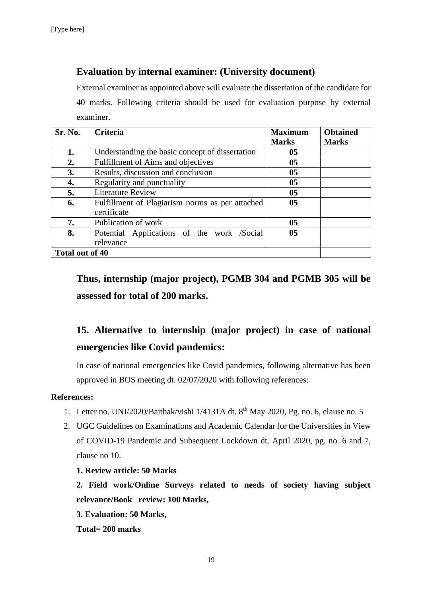# **Evaluation by internal examiner: (University document)**

External examiner as appointed above will evaluate the dissertation of the candidate for 40 marks. Following criteria should be used for evaluation purpose by external examiner.

| Sr. No.         | <b>Criteria</b>                                 | <b>Maximum</b> | <b>Obtained</b> |
|-----------------|-------------------------------------------------|----------------|-----------------|
|                 |                                                 | <b>Marks</b>   | <b>Marks</b>    |
| 1.              | Understanding the basic concept of dissertation | 05             |                 |
| 2.              | Fulfillment of Aims and objectives              | 05             |                 |
| 3.              | Results, discussion and conclusion              | 05             |                 |
| 4.              | Regularity and punctuality                      | 05             |                 |
| 5.              | <b>Literature Review</b>                        | 0 <sub>5</sub> |                 |
| 6.              | Fulfillment of Plagiarism norms as per attached | 05             |                 |
|                 | certificate                                     |                |                 |
| 7.              | Publication of work                             | 05             |                 |
| 8.              | Potential Applications of the work /Social      | 0 <sub>5</sub> |                 |
|                 | relevance                                       |                |                 |
| Total out of 40 |                                                 |                |                 |

**Thus, internship (major project), PGMB 304 and PGMB 305 will be assessed for total of 200 marks.**

# **15. Alternative to internship (major project) in case of national emergencies like Covid pandemics:**

In case of national emergencies like Covid pandemics, following alternative has been approved in BOS meeting dt. 02/07/2020 with following references:

#### **References:**

- 1. Letter no. UNI/2020/Baithak/vishi 1/4131A dt. 8th May 2020, Pg. no. 6, clause no. 5
- 2. UGC Guidelines on Examinations and Academic Calendar for the Universities in View of COVID-19 Pandemic and Subsequent Lockdown dt. April 2020, pg. no. 6 and 7, clause no 10.

#### **1. Review article: 50 Marks**

**2. Field work/Online Surveys related to needs of society having subject relevance/Book review: 100 Marks,**

**3. Evaluation: 50 Marks,** 

**Total= 200 marks**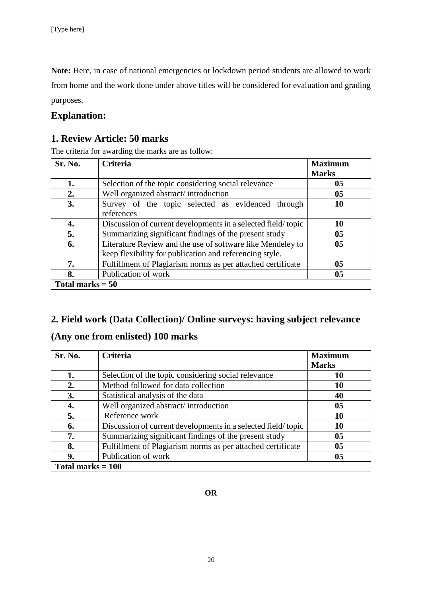**Note:** Here, in case of national emergencies or lockdown period students are allowed to work from home and the work done under above titles will be considered for evaluation and grading purposes.

# **Explanation:**

# **1. Review Article: 50 marks**

The criteria for awarding the marks are as follow:

| Sr. No.            | <b>Criteria</b>                                                                                                       | <b>Maximum</b><br><b>Marks</b> |
|--------------------|-----------------------------------------------------------------------------------------------------------------------|--------------------------------|
| 1.                 | Selection of the topic considering social relevance                                                                   | 0 <sub>5</sub>                 |
| 2.                 | Well organized abstract/introduction                                                                                  | 0 <sub>5</sub>                 |
| 3.                 | Survey of the topic selected as evidenced through<br>references                                                       | 10                             |
| 4.                 | Discussion of current developments in a selected field/topic                                                          | 10                             |
| 5.                 | Summarizing significant findings of the present study                                                                 | 0 <sub>5</sub>                 |
| 6.                 | Literature Review and the use of software like Mendeley to<br>keep flexibility for publication and referencing style. | 0 <sub>5</sub>                 |
| 7.                 | Fulfillment of Plagiarism norms as per attached certificate                                                           | 05                             |
| 8.                 | Publication of work                                                                                                   | 05                             |
| Total marks $= 50$ |                                                                                                                       |                                |

# **2. Field work (Data Collection)/ Online surveys: having subject relevance**

# **(Any one from enlisted) 100 marks**

| Sr. No.             | <b>Criteria</b>                                              | <b>Maximum</b> |
|---------------------|--------------------------------------------------------------|----------------|
|                     |                                                              | <b>Marks</b>   |
| 1.                  | Selection of the topic considering social relevance          | 10             |
| 2.                  | Method followed for data collection                          | 10             |
| 3.                  | Statistical analysis of the data                             | 40             |
| 4.                  | Well organized abstract/introduction                         | 0 <sub>5</sub> |
| 5.                  | Reference work                                               | 10             |
| 6.                  | Discussion of current developments in a selected field/topic | 10             |
| 7.                  | Summarizing significant findings of the present study        | 0 <sub>5</sub> |
| 8.                  | Fulfillment of Plagiarism norms as per attached certificate  | 0 <sub>5</sub> |
| 9.                  | Publication of work                                          | 05             |
| Total marks $= 100$ |                                                              |                |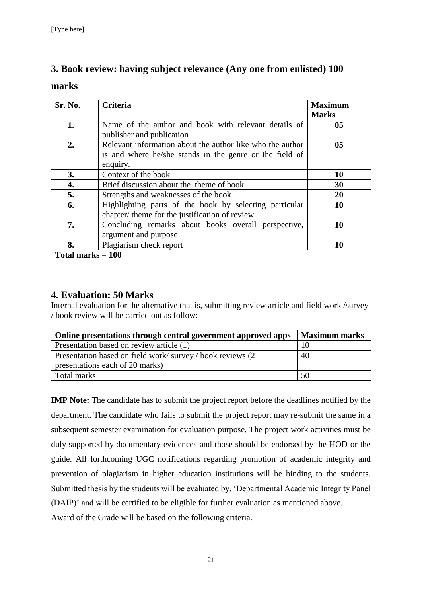# **3. Book review: having subject relevance (Any one from enlisted) 100**

#### **marks**

| Sr. No.             | <b>Criteria</b>                                                                                                                  | <b>Maximum</b><br><b>Marks</b> |
|---------------------|----------------------------------------------------------------------------------------------------------------------------------|--------------------------------|
| 1.                  | Name of the author and book with relevant details of<br>publisher and publication                                                | 0 <sub>5</sub>                 |
| 2.                  | Relevant information about the author like who the author<br>is and where he/she stands in the genre or the field of<br>enquiry. | 0 <sub>5</sub>                 |
| 3.                  | Context of the book                                                                                                              | 10                             |
| 4.                  | Brief discussion about the theme of book                                                                                         | 30                             |
| 5.                  | Strengths and weaknesses of the book                                                                                             | 20                             |
| 6.                  | Highlighting parts of the book by selecting particular<br>chapter/ theme for the justification of review                         | 10                             |
| 7.                  | Concluding remarks about books overall perspective,<br>argument and purpose                                                      | 10                             |
| 8.                  | Plagiarism check report                                                                                                          | 10                             |
| Total marks $= 100$ |                                                                                                                                  |                                |

# **4. Evaluation: 50 Marks**

Internal evaluation for the alternative that is, submitting review article and field work /survey / book review will be carried out as follow:

| Online presentations through central government approved apps | <b>Maximum marks</b> |
|---------------------------------------------------------------|----------------------|
| Presentation based on review article (1)                      |                      |
| Presentation based on field work/survey/book reviews (2)      | 40                   |
| presentations each of 20 marks)                               |                      |
| Total marks                                                   | 50                   |

**IMP** Note: The candidate has to submit the project report before the deadlines notified by the department. The candidate who fails to submit the project report may re-submit the same in a subsequent semester examination for evaluation purpose. The project work activities must be duly supported by documentary evidences and those should be endorsed by the HOD or the guide. All forthcoming UGC notifications regarding promotion of academic integrity and prevention of plagiarism in higher education institutions will be binding to the students. Submitted thesis by the students will be evaluated by, 'Departmental Academic Integrity Panel (DAIP)' and will be certified to be eligible for further evaluation as mentioned above. Award of the Grade will be based on the following criteria.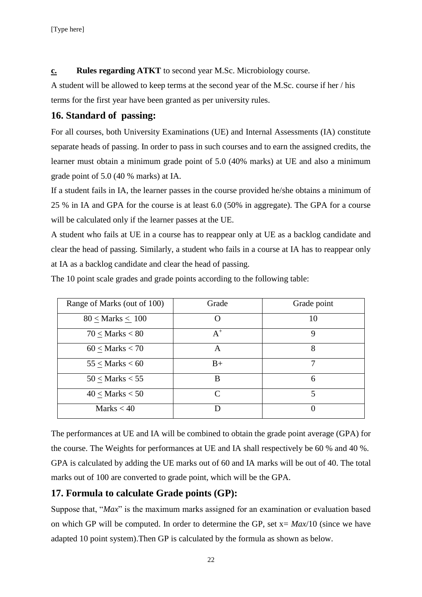**c. Rules regarding ATKT** to second year M.Sc. Microbiology course.

A student will be allowed to keep terms at the second year of the M.Sc. course if her / his terms for the first year have been granted as per university rules.

## **16. Standard of passing:**

For all courses, both University Examinations (UE) and Internal Assessments (IA) constitute separate heads of passing. In order to pass in such courses and to earn the assigned credits, the learner must obtain a minimum grade point of 5.0 (40% marks) at UE and also a minimum grade point of 5.0 (40 % marks) at IA.

If a student fails in IA, the learner passes in the course provided he/she obtains a minimum of 25 % in IA and GPA for the course is at least 6.0 (50% in aggregate). The GPA for a course will be calculated only if the learner passes at the UE.

A student who fails at UE in a course has to reappear only at UE as a backlog candidate and clear the head of passing. Similarly, a student who fails in a course at IA has to reappear only at IA as a backlog candidate and clear the head of passing.

The 10 point scale grades and grade points according to the following table:

| Range of Marks (out of 100) | Grade     | Grade point |
|-----------------------------|-----------|-------------|
| $80 <$ Marks $< 100$        |           | 10          |
| $70 <$ Marks $< 80$         | $A^+$     | 9           |
| $60 <$ Marks $< 70$         | A         | 8           |
| $55 <$ Marks $< 60$         | $B+$      |             |
| $50 <$ Marks $< 55$         | B         | 6           |
| $40 <$ Marks $< 50$         | $\subset$ | 5           |
| Marks $<$ 40                |           |             |

The performances at UE and IA will be combined to obtain the grade point average (GPA) for the course. The Weights for performances at UE and IA shall respectively be 60 % and 40 %. GPA is calculated by adding the UE marks out of 60 and IA marks will be out of 40. The total marks out of 100 are converted to grade point, which will be the GPA.

# **17. Formula to calculate Grade points (GP):**

Suppose that, "*Max*" is the maximum marks assigned for an examination or evaluation based on which GP will be computed. In order to determine the GP, set x= *Max*/10 (since we have adapted 10 point system).Then GP is calculated by the formula as shown as below.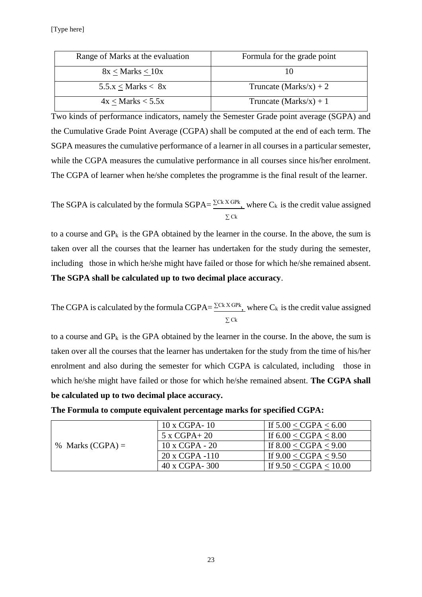| Range of Marks at the evaluation | Formula for the grade point |
|----------------------------------|-----------------------------|
| $8x <$ Marks $< 10x$             |                             |
| $5.5.x <$ Marks $< 8x$           | Truncate $(Marks/x) + 2$    |
| $4x <$ Marks $<$ 5.5x            | Truncate $(Marks/x) + 1$    |

Two kinds of performance indicators, namely the Semester Grade point average (SGPA) and the Cumulative Grade Point Average (CGPA) shall be computed at the end of each term. The SGPA measures the cumulative performance of a learner in all courses in a particular semester, while the CGPA measures the cumulative performance in all courses since his/her enrolment. The CGPA of learner when he/she completes the programme is the final result of the learner.

The SGPA is calculated by the formula  $SGPA = \frac{\sum Ck X GPK}{N}$ , where  $C_k$  is the credit value assigned ∑ Ck

to a course and  $GP_k$  is the GPA obtained by the learner in the course. In the above, the sum is taken over all the courses that the learner has undertaken for the study during the semester, including those in which he/she might have failed or those for which he/she remained absent. **The SGPA shall be calculated up to two decimal place accuracy**.

The CGPA is calculated by the formula CGPA= $\frac{\sum Ck X GPR}{n}$ , where C<sub>k</sub> is the credit value assigned ∑ Ck

to a course and  $GP_k$  is the GPA obtained by the learner in the course. In the above, the sum is taken over all the courses that the learner has undertaken for the study from the time of his/her enrolment and also during the semester for which CGPA is calculated, including those in which he/she might have failed or those for which he/she remained absent. **The CGPA shall be calculated up to two decimal place accuracy.**

| % Marks $(CGPA) =$ | $10 \times CGPA - 10$ | If $5.00 < CGPA < 6.00$  |
|--------------------|-----------------------|--------------------------|
|                    | $5x$ CGPA+20          | If $6.00 < CGPA < 8.00$  |
|                    | $10 \times CGPA - 20$ | If $8.00 < CGPA < 9.00$  |
|                    | $20 x CGPA -110$      | If $9.00 < CGPA < 9.50$  |
|                    | 40 x CGPA-300         | If $9.50 < CGPA < 10.00$ |

**The Formula to compute equivalent percentage marks for specified CGPA:**